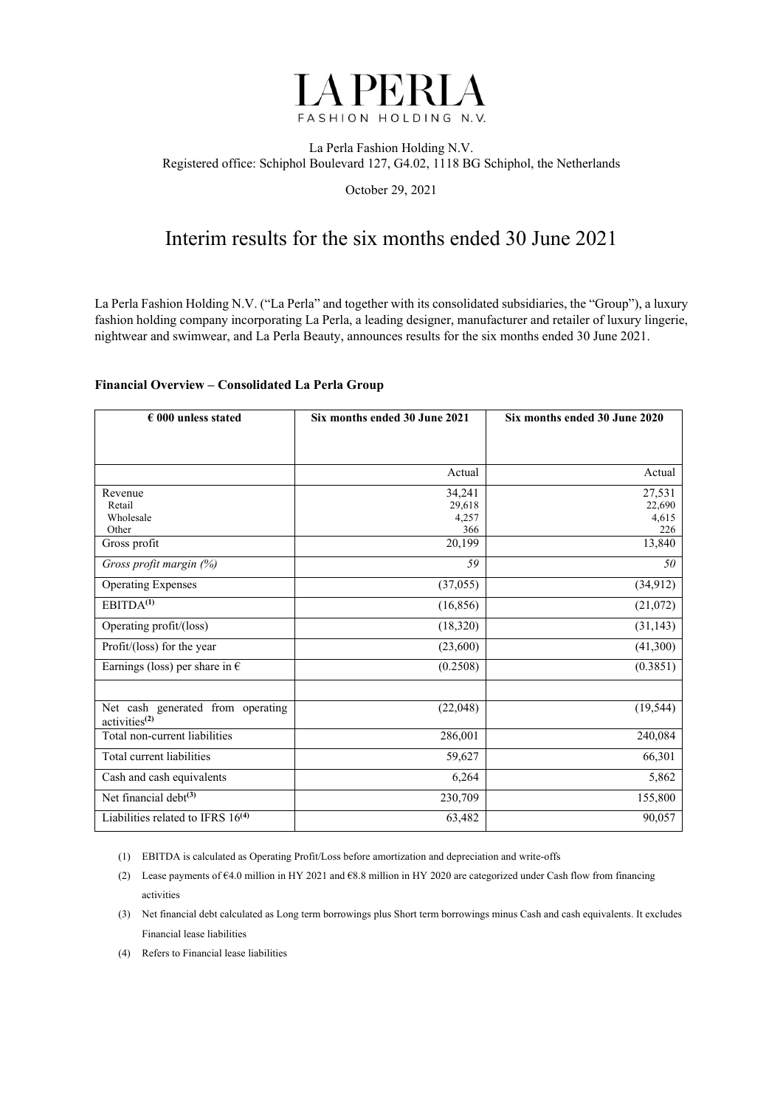

#### La Perla Fashion Holding N.V. Registered office: Schiphol Boulevard 127, G4.02, 1118 BG Schiphol, the Netherlands

October 29, 2021

## Interim results for the six months ended 30 June 2021

La Perla Fashion Holding N.V. ("La Perla" and together with its consolidated subsidiaries, the "Group"), a luxury fashion holding company incorporating La Perla, a leading designer, manufacturer and retailer of luxury lingerie, nightwear and swimwear, and La Perla Beauty, announces results for the six months ended 30 June 2021.

#### **Financial Overview – Consolidated La Perla Group**

| $\epsilon$ 000 unless stated                                   | Six months ended 30 June 2021 | Six months ended 30 June 2020 |
|----------------------------------------------------------------|-------------------------------|-------------------------------|
|                                                                |                               |                               |
|                                                                |                               |                               |
|                                                                | Actual                        | Actual                        |
| Revenue                                                        | 34,241                        | 27,531                        |
| Retail                                                         | 29,618                        | 22,690                        |
| Wholesale                                                      | 4,257                         | 4,615                         |
| Other                                                          | 366                           | 226                           |
| Gross profit                                                   | 20,199                        | 13,840                        |
| Gross profit margin (%)                                        | 59                            | 50                            |
| <b>Operating Expenses</b>                                      | (37,055)                      | (34, 912)                     |
| EBITDA <sup>(1)</sup>                                          | (16, 856)                     | (21,072)                      |
| Operating profit/(loss)                                        | (18,320)                      | (31, 143)                     |
| Profit/(loss) for the year                                     | (23,600)                      | (41,300)                      |
| Earnings (loss) per share in $\epsilon$                        | (0.2508)                      | (0.3851)                      |
|                                                                |                               |                               |
| Net cash generated from operating<br>activities <sup>(2)</sup> | (22,048)                      | (19, 544)                     |
| Total non-current liabilities                                  | 286,001                       | 240,084                       |
| Total current liabilities                                      | 59,627                        | 66,301                        |
| Cash and cash equivalents                                      | 6,264                         | 5,862                         |
| Net financial debt <sup>(3)</sup>                              | 230,709                       | 155,800                       |
| Liabilities related to IFRS 16 <sup>(4)</sup>                  | 63,482                        | 90,057                        |

(1) EBITDA is calculated as Operating Profit/Loss before amortization and depreciation and write-offs

- (2) Lease payments of €4.0 million in HY 2021 and €8.8 million in HY 2020 are categorized under Cash flow from financing activities
- (3) Net financial debt calculated as Long term borrowings plus Short term borrowings minus Cash and cash equivalents. It excludes Financial lease liabilities
- (4) Refers to Financial lease liabilities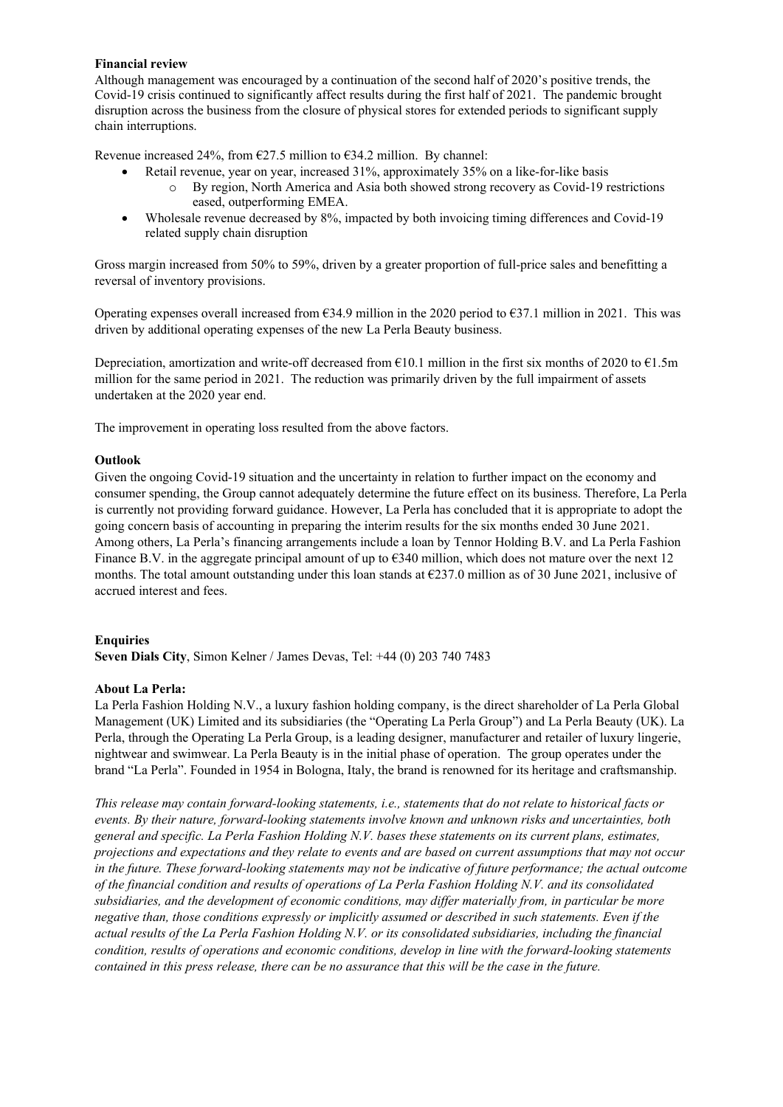#### **Financial review**

Although management was encouraged by a continuation of the second half of 2020's positive trends, the Covid-19 crisis continued to significantly affect results during the first half of 2021. The pandemic brought disruption across the business from the closure of physical stores for extended periods to significant supply chain interruptions.

Revenue increased 24%, from  $\epsilon$ 27.5 million to  $\epsilon$ 34.2 million. By channel:

- Retail revenue, year on year, increased 31%, approximately 35% on a like-for-like basis
	- By region, North America and Asia both showed strong recovery as Covid-19 restrictions eased, outperforming EMEA.
- Wholesale revenue decreased by 8%, impacted by both invoicing timing differences and Covid-19 related supply chain disruption

Gross margin increased from 50% to 59%, driven by a greater proportion of full-price sales and benefitting a reversal of inventory provisions.

Operating expenses overall increased from  $634.9$  million in the 2020 period to  $637.1$  million in 2021. This was driven by additional operating expenses of the new La Perla Beauty business.

Depreciation, amortization and write-off decreased from  $E10.1$  million in the first six months of 2020 to  $E1.5m$ million for the same period in 2021. The reduction was primarily driven by the full impairment of assets undertaken at the 2020 year end.

The improvement in operating loss resulted from the above factors.

#### **Outlook**

Given the ongoing Covid-19 situation and the uncertainty in relation to further impact on the economy and consumer spending, the Group cannot adequately determine the future effect on its business. Therefore, La Perla is currently not providing forward guidance. However, La Perla has concluded that it is appropriate to adopt the going concern basis of accounting in preparing the interim results for the six months ended 30 June 2021. Among others, La Perla's financing arrangements include a loan by Tennor Holding B.V. and La Perla Fashion Finance B.V. in the aggregate principal amount of up to  $\epsilon$ 340 million, which does not mature over the next 12 months. The total amount outstanding under this loan stands at  $\epsilon$ 237.0 million as of 30 June 2021, inclusive of accrued interest and fees.

#### **Enquiries**

**Seven Dials City**, Simon Kelner / James Devas, Tel: +44 (0) 203 740 7483

#### **About La Perla:**

La Perla Fashion Holding N.V., a luxury fashion holding company, is the direct shareholder of La Perla Global Management (UK) Limited and its subsidiaries (the "Operating La Perla Group") and La Perla Beauty (UK). La Perla, through the Operating La Perla Group, is a leading designer, manufacturer and retailer of luxury lingerie, nightwear and swimwear. La Perla Beauty is in the initial phase of operation. The group operates under the brand "La Perla". Founded in 1954 in Bologna, Italy, the brand is renowned for its heritage and craftsmanship.

*This release may contain forward-looking statements, i.e., statements that do not relate to historical facts or events. By their nature, forward-looking statements involve known and unknown risks and uncertainties, both general and specific. La Perla Fashion Holding N.V. bases these statements on its current plans, estimates, projections and expectations and they relate to events and are based on current assumptions that may not occur in the future. These forward-looking statements may not be indicative of future performance; the actual outcome of the financial condition and results of operations of La Perla Fashion Holding N.V. and its consolidated subsidiaries, and the development of economic conditions, may differ materially from, in particular be more negative than, those conditions expressly or implicitly assumed or described in such statements. Even if the actual results of the La Perla Fashion Holding N.V. or its consolidated subsidiaries, including the financial condition, results of operations and economic conditions, develop in line with the forward-looking statements contained in this press release, there can be no assurance that this will be the case in the future.*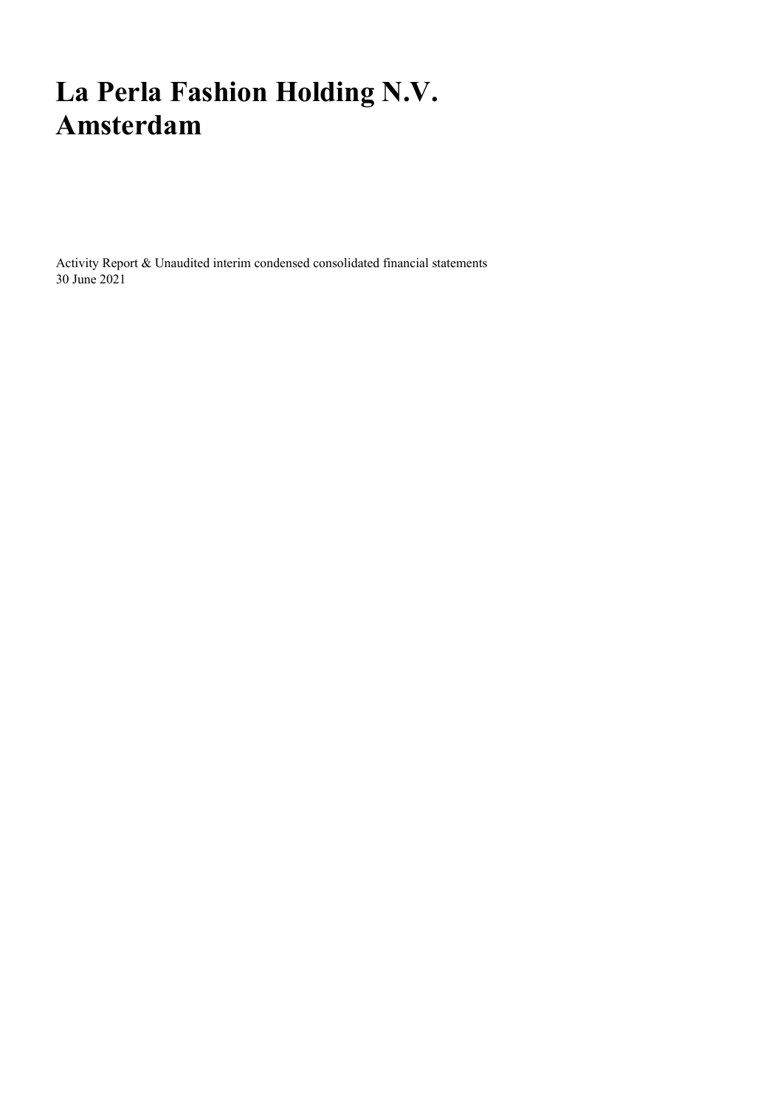# **La Perla Fashion Holding N.V. Amsterdam**

Activity Report & Unaudited interim condensed consolidated financial statements 30 June 2021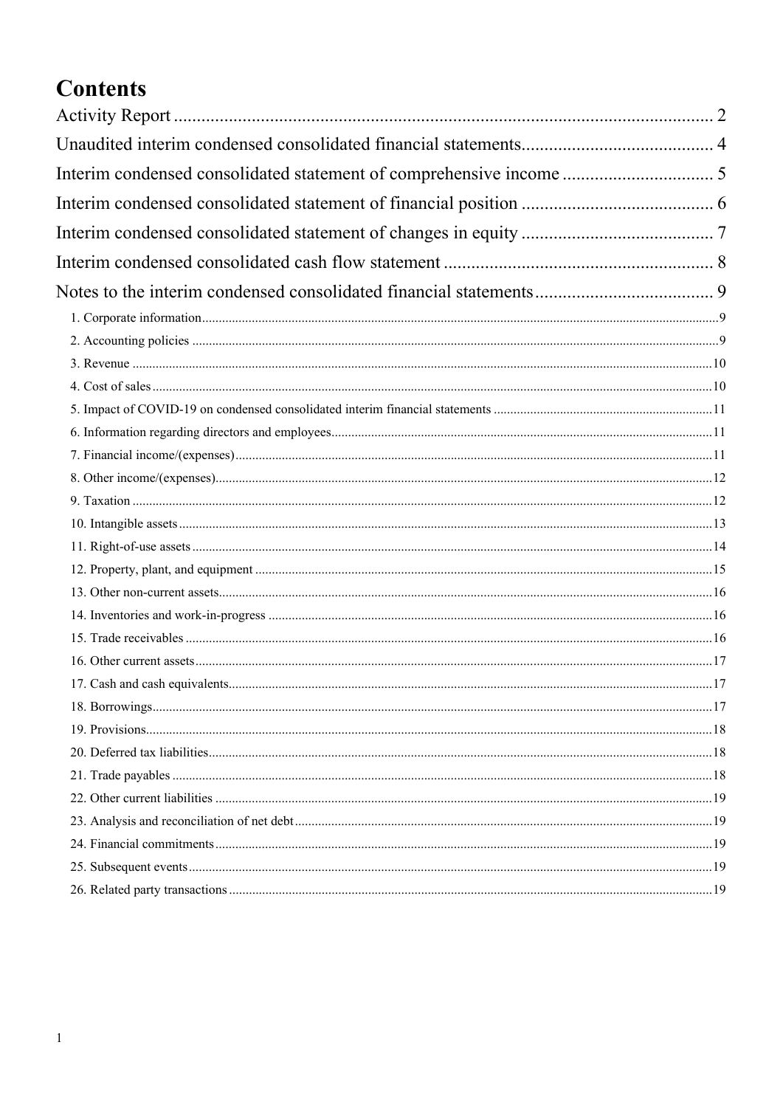# **Contents**

| Interim condensed consolidated statement of comprehensive income  5 |  |
|---------------------------------------------------------------------|--|
|                                                                     |  |
|                                                                     |  |
|                                                                     |  |
|                                                                     |  |
|                                                                     |  |
|                                                                     |  |
|                                                                     |  |
|                                                                     |  |
|                                                                     |  |
|                                                                     |  |
|                                                                     |  |
|                                                                     |  |
|                                                                     |  |
|                                                                     |  |
|                                                                     |  |
|                                                                     |  |
|                                                                     |  |
|                                                                     |  |
|                                                                     |  |
|                                                                     |  |
|                                                                     |  |
|                                                                     |  |
|                                                                     |  |
|                                                                     |  |
|                                                                     |  |
|                                                                     |  |
|                                                                     |  |
|                                                                     |  |
|                                                                     |  |
|                                                                     |  |
|                                                                     |  |
|                                                                     |  |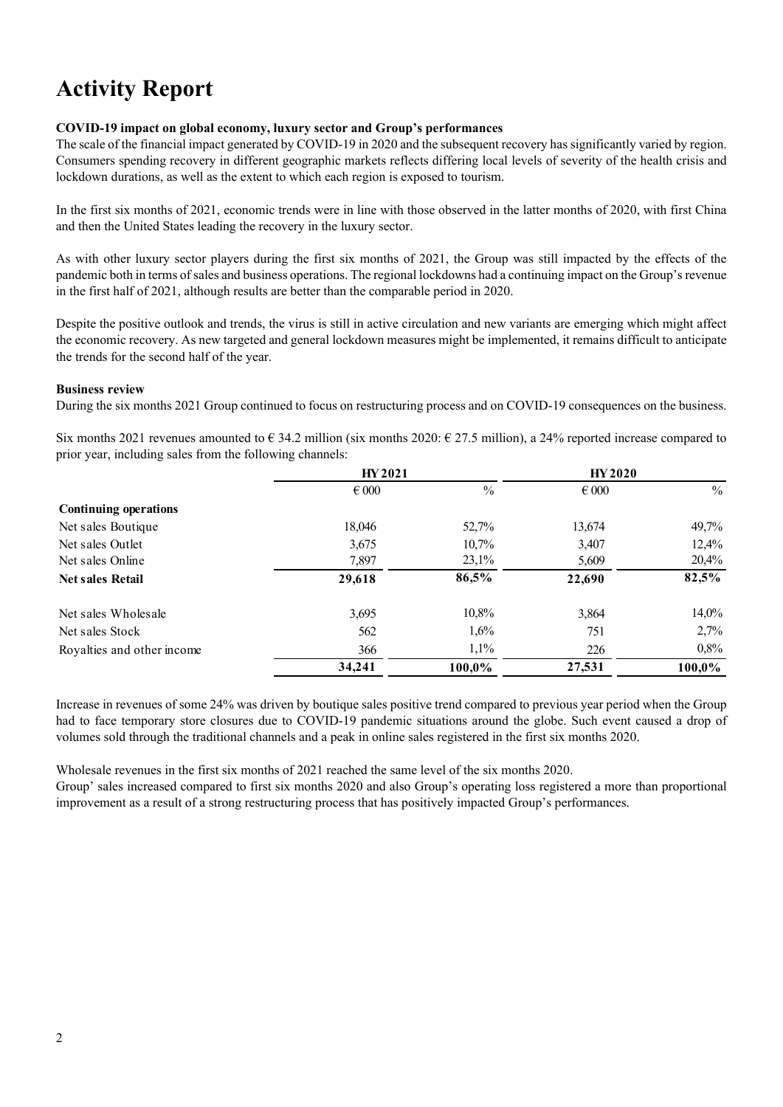# **Activity Report**

#### **COVID-19 impact on global economy, luxury sector and Group's performances**

The scale of the financial impact generated by COVID-19 in 2020 and the subsequent recovery has significantly varied by region. Consumers spending recovery in different geographic markets reflects differing local levels of severity of the health crisis and lockdown durations, as well as the extent to which each region is exposed to tourism.

In the first six months of 2021, economic trends were in line with those observed in the latter months of 2020, with first China and then the United States leading the recovery in the luxury sector.

As with other luxury sector players during the first six months of 2021, the Group was still impacted by the effects of the pandemic both in terms of sales and business operations. The regional lockdowns had a continuing impact on the Group's revenue in the first half of 2021, although results are better than the comparable period in 2020.

Despite the positive outlook and trends, the virus is still in active circulation and new variants are emerging which might affect the economic recovery. As new targeted and general lockdown measures might be implemented, it remains difficult to anticipate the trends for the second half of the year.

#### **Business review**

During the six months 2021 Group continued to focus on restructuring process and on COVID-19 consequences on the business.

Six months 2021 revenues amounted to  $\epsilon$  34.2 million (six months 2020:  $\epsilon$  27.5 million), a 24% reported increase compared to prior year, including sales from the following channels:

|                                      | HY 2021        |                   | <b>HY 2020</b> |                |
|--------------------------------------|----------------|-------------------|----------------|----------------|
|                                      | $\epsilon$ 000 | $\%$              | $\epsilon$ 000 | $\frac{0}{0}$  |
| <b>Continuing operations</b>         |                |                   |                |                |
| Net sales Boutique                   | 18,046         | 52,7%             | 13,674         | 49,7%          |
| Net sales Outlet<br>Net sales Online | 3,675<br>7,897 | 10,7%<br>$23,1\%$ | 3,407<br>5,609 | 12,4%<br>20,4% |
|                                      |                |                   |                |                |
| Net sales Wholesale                  | 3,695          | 10,8%             | 3,864          | $14,0\%$       |
| Net sales Stock                      | 562            | 1,6%              | 751            | 2,7%           |
| Royalties and other income           | 366            | 1,1%              | 226            | 0,8%           |
|                                      | 34,241         | 100,0%            | 27,531         | 100,0%         |

Increase in revenues of some 24% was driven by boutique sales positive trend compared to previous year period when the Group had to face temporary store closures due to COVID-19 pandemic situations around the globe. Such event caused a drop of volumes sold through the traditional channels and a peak in online sales registered in the first six months 2020.

Wholesale revenues in the first six months of 2021 reached the same level of the six months 2020.

Group' sales increased compared to first six months 2020 and also Group's operating loss registered a more than proportional improvement as a result of a strong restructuring process that has positively impacted Group's performances.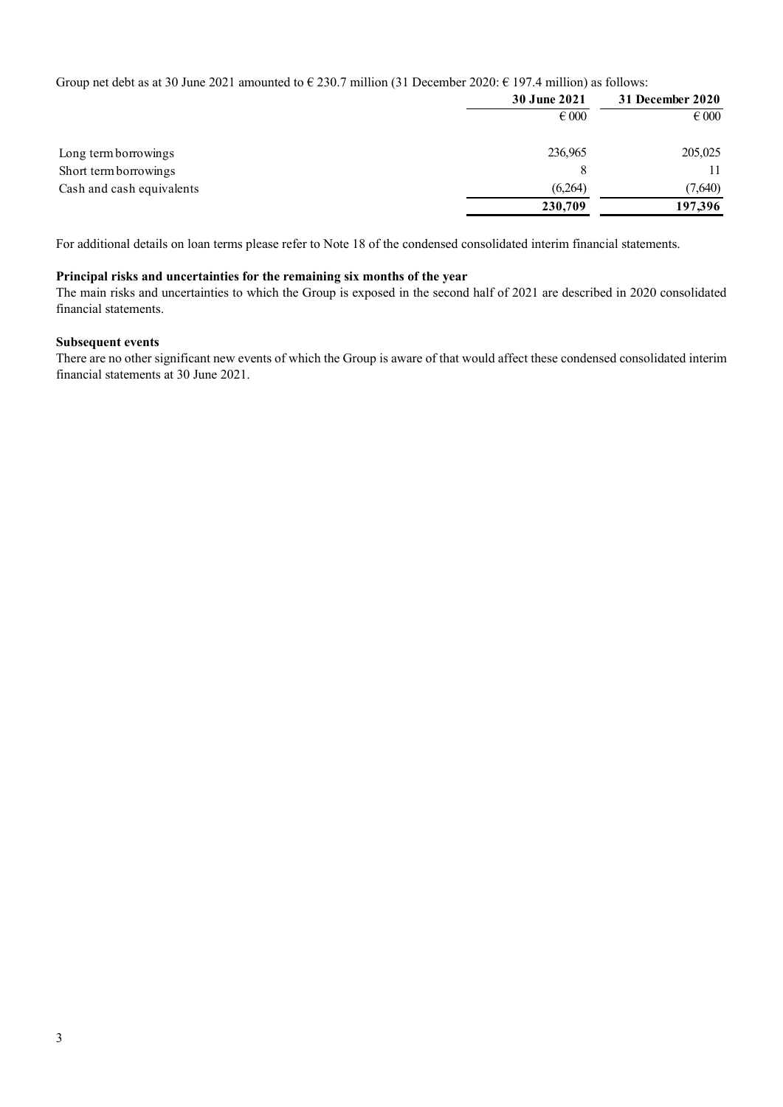Group net debt as at 30 June 2021 amounted to  $\epsilon$  230.7 million (31 December 2020:  $\epsilon$  197.4 million) as follows:

|                           | <b>30 June 2021</b> | 31 December 2020 |
|---------------------------|---------------------|------------------|
|                           | $\epsilon$ 000      | $\epsilon$ 000   |
| Long term borrowings      | 236,965             | 205,025          |
| Short term borrowings     |                     | 11               |
| Cash and cash equivalents | (6,264)             | (7,640)          |
|                           | 230,709             | 197,396          |

For additional details on loan terms please refer to Note 18 of the condensed consolidated interim financial statements.

#### **Principal risks and uncertainties for the remaining six months of the year**

The main risks and uncertainties to which the Group is exposed in the second half of 2021 are described in 2020 consolidated financial statements.

#### **Subsequent events**

There are no other significant new events of which the Group is aware of that would affect these condensed consolidated interim financial statements at 30 June 2021.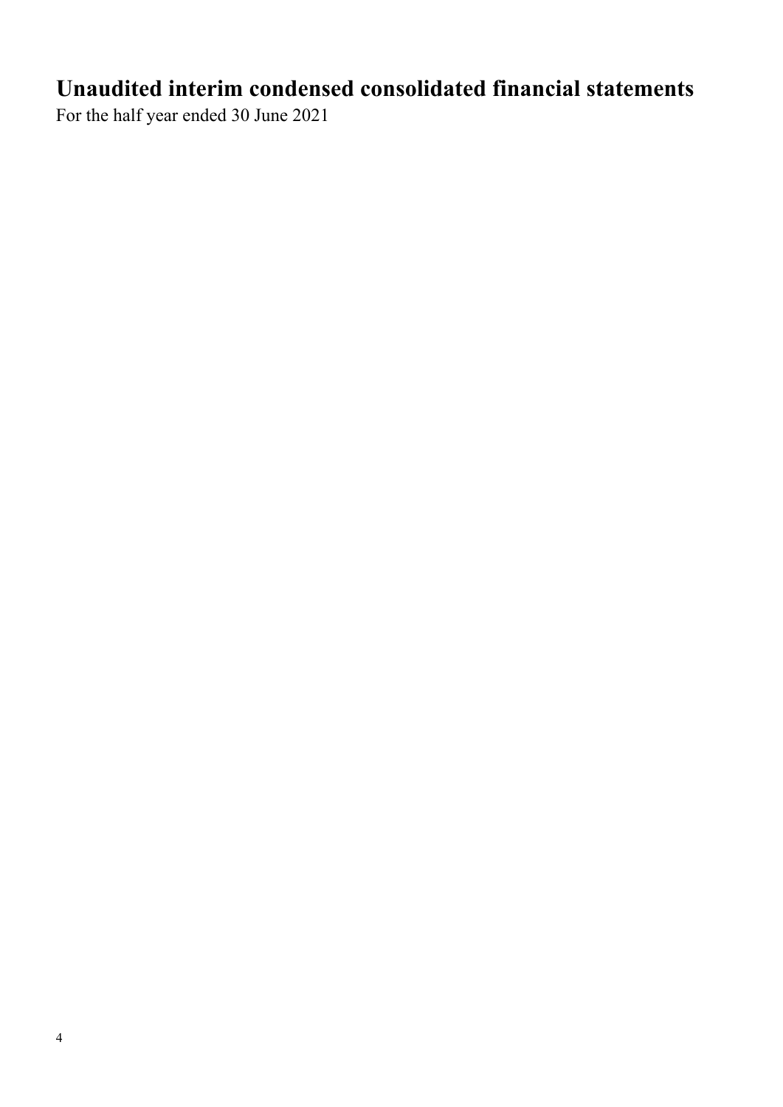# **Unaudited interim condensed consolidated financial statements**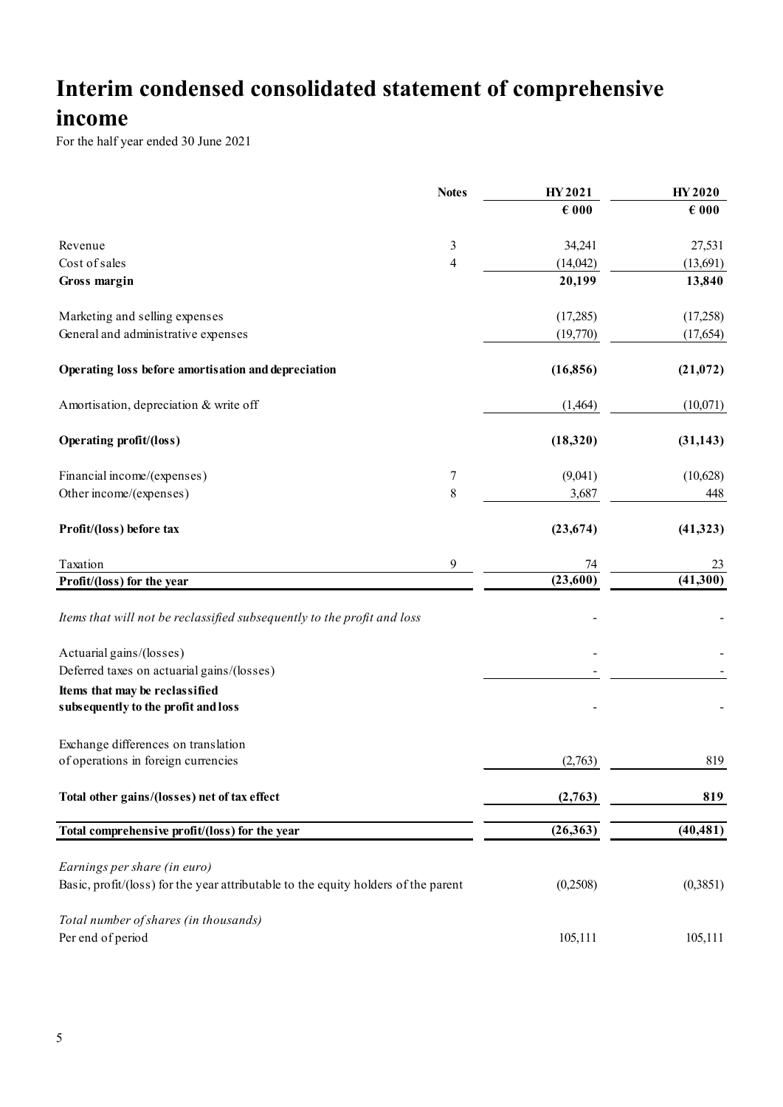# **Interim condensed consolidated statement of comprehensive**

## **income**

|                                                                                    | <b>Notes</b> | HY 2021        | <b>HY2020</b>  |
|------------------------------------------------------------------------------------|--------------|----------------|----------------|
|                                                                                    |              | $\epsilon$ 000 | $\epsilon$ 000 |
| Revenue                                                                            | 3            | 34,241         | 27,531         |
| Cost of sales                                                                      | 4            | (14,042)       | (13,691)       |
| Gross margin                                                                       |              | 20,199         | 13,840         |
| Marketing and selling expenses                                                     |              | (17,285)       | (17,258)       |
| General and administrative expenses                                                |              | (19,770)       | (17, 654)      |
| Operating loss before amortisation and depreciation                                |              | (16, 856)      | (21, 072)      |
| Amortisation, depreciation & write off                                             |              | (1,464)        | (10,071)       |
| <b>Operating profit/(loss)</b>                                                     |              | (18,320)       | (31, 143)      |
| Financial income/(expenses)                                                        | 7            | (9,041)        | (10,628)       |
| Other income/(expenses)                                                            | $\,$ $\,$    | 3,687          | 448            |
| Profit/(loss) before tax                                                           |              | (23, 674)      | (41,323)       |
| Taxation                                                                           | 9            | 74             | 23             |
| Profit/(loss) for the year                                                         |              | (23,600)       | (41,300)       |
| Items that will not be reclassified subsequently to the profit and loss            |              |                |                |
| Actuarial gains/(losses)                                                           |              |                |                |
| Deferred taxes on actuarial gains/(losses)                                         |              |                |                |
| Items that may be reclassified<br>subsequently to the profit and loss              |              |                |                |
| Exchange differences on translation<br>of operations in foreign currencies         |              | (2,763)        | 819            |
|                                                                                    |              |                |                |
| Total other gains/(losses) net of tax effect                                       |              | (2,763)        | 819            |
| Total comprehensive profit/(loss) for the year                                     |              | (26, 363)      | (40, 481)      |
| Earnings per share (in euro)                                                       |              |                |                |
| Basic, profit/(loss) for the year attributable to the equity holders of the parent |              | (0,2508)       | (0,3851)       |
| Total number of shares (in thousands)                                              |              |                |                |
| Per end of period                                                                  |              | 105,111        | 105,111        |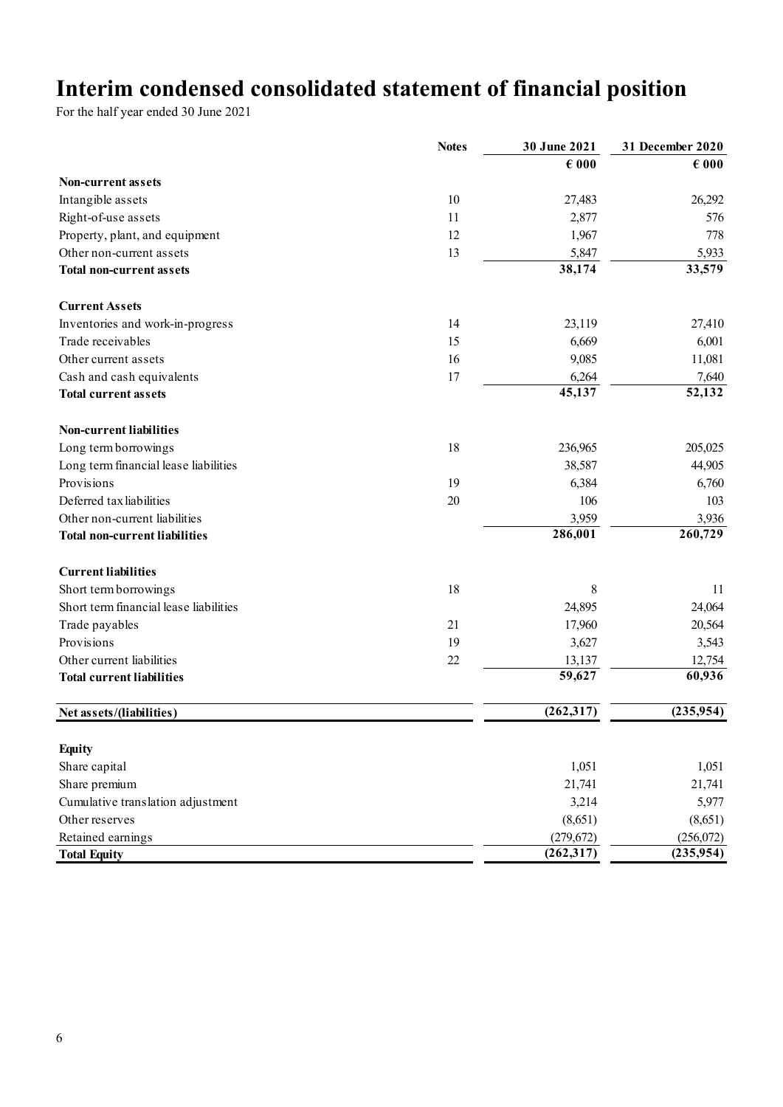# **Interim condensed consolidated statement of financial position**

|                                        | <b>Notes</b> | 30 June 2021        | 31 December 2020 |
|----------------------------------------|--------------|---------------------|------------------|
|                                        |              | $\epsilon$ 000      | $\epsilon$ 000   |
| <b>Non-current assets</b>              |              |                     |                  |
| Intangible assets                      | 10           | 27,483              | 26,292           |
| Right-of-use assets                    | 11           | 2,877               | 576              |
| Property, plant, and equipment         | 12           | 1,967               | 778              |
| Other non-current assets               | 13           | 5,847               | 5,933            |
| <b>Total non-current assets</b>        |              | 38,174              | 33,579           |
| <b>Current Assets</b>                  |              |                     |                  |
| Inventories and work-in-progress       | 14           | 23,119              | 27,410           |
| Trade receivables                      | 15           | 6,669               | 6,001            |
| Other current assets                   | 16           | 9,085               | 11,081           |
| Cash and cash equivalents              | 17           | 6,264               | 7,640            |
| <b>Total current assets</b>            |              | 45,137              | 52,132           |
| <b>Non-current liabilities</b>         |              |                     |                  |
| Long term borrowings                   | 18           | 236,965             | 205,025          |
| Long term financial lease liabilities  |              | 38,587              | 44,905           |
| Provisions                             | 19           | 6,384               | 6,760            |
| Deferred tax liabilities               | 20           | 106                 | 103              |
| Other non-current liabilities          |              | 3,959               | 3,936            |
| <b>Total non-current liabilities</b>   |              | 286,001             | 260,729          |
| <b>Current liabilities</b>             |              |                     |                  |
| Short term borrowings                  | 18           | 8                   | 11               |
| Short term financial lease liabilities |              | 24,895              | 24,064           |
| Trade payables                         | 21           | 17,960              | 20,564           |
| Provisions                             | 19           | 3,627               | 3,543            |
| Other current liabilities              | 22           | 13,137              | 12,754           |
| <b>Total current liabilities</b>       |              | $\overline{59,627}$ | 60,936           |
| Net assets/(liabilities)               |              | (262, 317)          | (235,954)        |
|                                        |              |                     |                  |
| <b>Equity</b>                          |              |                     |                  |
| Share capital                          |              | 1,051               | 1,051            |
| Share premium                          |              | 21,741              | 21,741           |
| Cumulative translation adjustment      |              | 3,214               | 5,977            |
| Other reserves                         |              | (8,651)             | (8,651)          |
| Retained earnings                      |              | (279, 672)          | (256,072)        |
| <b>Total Equity</b>                    |              | (262, 317)          | (235, 954)       |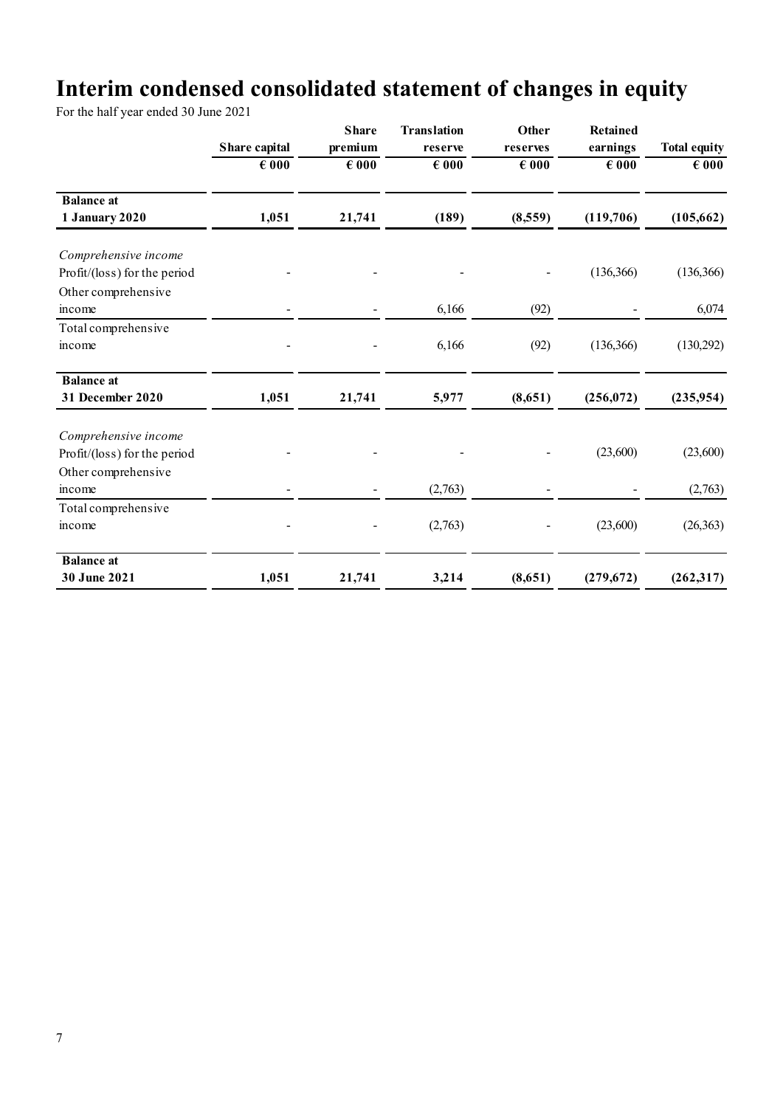# **Interim condensed consolidated statement of changes in equity**

|                                                                             | Share capital  | <b>Share</b><br>premium | <b>Translation</b><br>reserve | Other<br>reserves | <b>Retained</b><br>earnings | <b>Total equity</b> |
|-----------------------------------------------------------------------------|----------------|-------------------------|-------------------------------|-------------------|-----------------------------|---------------------|
|                                                                             | $\epsilon$ 000 | $\epsilon$ 000          | $\epsilon$ 000                | $\epsilon$ 000    | $\epsilon$ 000              | $\epsilon$ 000      |
| <b>Balance</b> at<br>1 January 2020                                         | 1,051          | 21,741                  | (189)                         | (8,559)           | (119,706)                   | (105, 662)          |
| Comprehensive income<br>Profit/(loss) for the period<br>Other comprehensive |                |                         |                               |                   | (136, 366)                  | (136, 366)          |
| income                                                                      |                |                         | 6,166                         | (92)              |                             | 6,074               |
| Total comprehensive<br>income                                               |                |                         | 6,166                         | (92)              | (136, 366)                  | (130,292)           |
| <b>Balance</b> at<br>31 December 2020                                       | 1,051          | 21,741                  | 5,977                         | (8,651)           | (256, 072)                  | (235, 954)          |
| Comprehensive income<br>Profit/(loss) for the period<br>Other comprehensive |                |                         |                               |                   | (23,600)                    | (23,600)            |
| income                                                                      |                |                         | (2,763)                       |                   |                             | (2,763)             |
| Total comprehensive<br>income                                               |                |                         | (2,763)                       |                   | (23,600)                    | (26, 363)           |
| <b>Balance</b> at<br>30 June 2021                                           | 1,051          | 21,741                  | 3,214                         | (8,651)           | (279, 672)                  | (262, 317)          |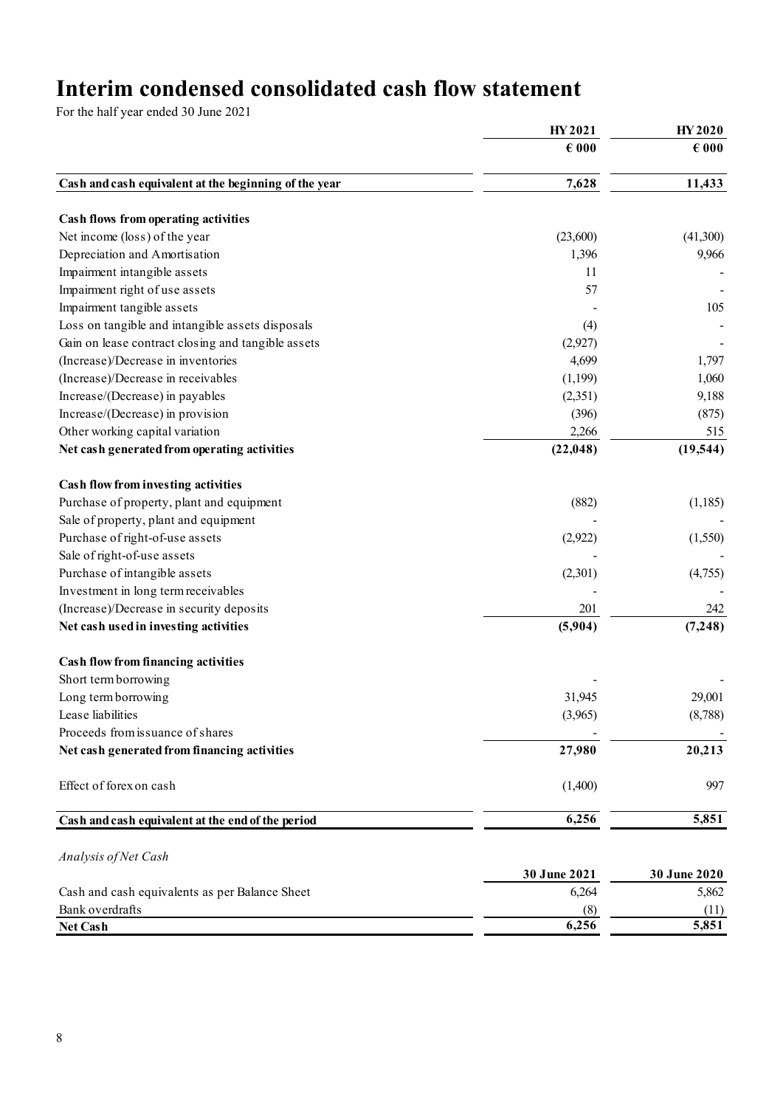# **Interim condensed consolidated cash flow statement**

|                                                       | HY 2021        | HY 2020        |  |
|-------------------------------------------------------|----------------|----------------|--|
|                                                       | $\epsilon$ 000 | $\epsilon$ 000 |  |
| Cash and cash equivalent at the beginning of the year | 7,628          | 11,433         |  |
| Cash flows from operating activities                  |                |                |  |
| Net income (loss) of the year                         | (23,600)       | (41,300)       |  |
| Depreciation and Amortisation                         | 1,396          | 9,966          |  |
| Impairment intangible assets                          | 11             |                |  |
| Impairment right of use assets                        | 57             |                |  |
| Impairment tangible assets                            |                | 105            |  |
| Loss on tangible and intangible assets disposals      | (4)            |                |  |
| Gain on lease contract closing and tangible assets    | (2,927)        |                |  |
| (Increase)/Decrease in inventories                    | 4,699          | 1,797          |  |
| (Increase)/Decrease in receivables                    | (1,199)        | 1,060          |  |
| Increase/(Decrease) in payables                       | (2,351)        | 9,188          |  |
| Increase/(Decrease) in provision                      | (396)          | (875)          |  |
| Other working capital variation                       | 2,266          | 515            |  |
| Net cash generated from operating activities          | (22, 048)      | (19, 544)      |  |
| Cash flow from investing activities                   |                |                |  |
| Purchase of property, plant and equipment             | (882)          | (1,185)        |  |
| Sale of property, plant and equipment                 |                |                |  |
| Purchase of right-of-use assets                       | (2,922)        | (1,550)        |  |
| Sale of right-of-use assets                           |                |                |  |
| Purchase of intangible assets                         | (2,301)        | (4,755)        |  |
| Investment in long term receivables                   |                |                |  |
| (Increase)/Decrease in security deposits              | 201            | 242            |  |
| Net cash used in investing activities                 | (5,904)        | (7, 248)       |  |
| <b>Cash flow from financing activities</b>            |                |                |  |
| Short term borrowing                                  |                |                |  |
| Long term borrowing                                   | 31,945         | 29,001         |  |
| Lease liabilities                                     | (3,965)        | (8,788)        |  |
| Proceeds from issuance of shares                      |                |                |  |
| Net cash generated from financing activities          | 27,980         | 20,213         |  |
| Effect of forex on cash                               | (1,400)        | 997            |  |
| Cash and cash equivalent at the end of the period     | 6,256          | 5,851          |  |
| Analysis of Net Cash                                  |                |                |  |
|                                                       | 30 June 2021   | 30 June 2020   |  |
| Cash and cash equivalents as per Balance Sheet        | 6,264          | 5,862          |  |
| Bank overdrafts                                       | (8)            | (11)           |  |
| Net Cash                                              | 6,256          | 5,851          |  |
|                                                       |                |                |  |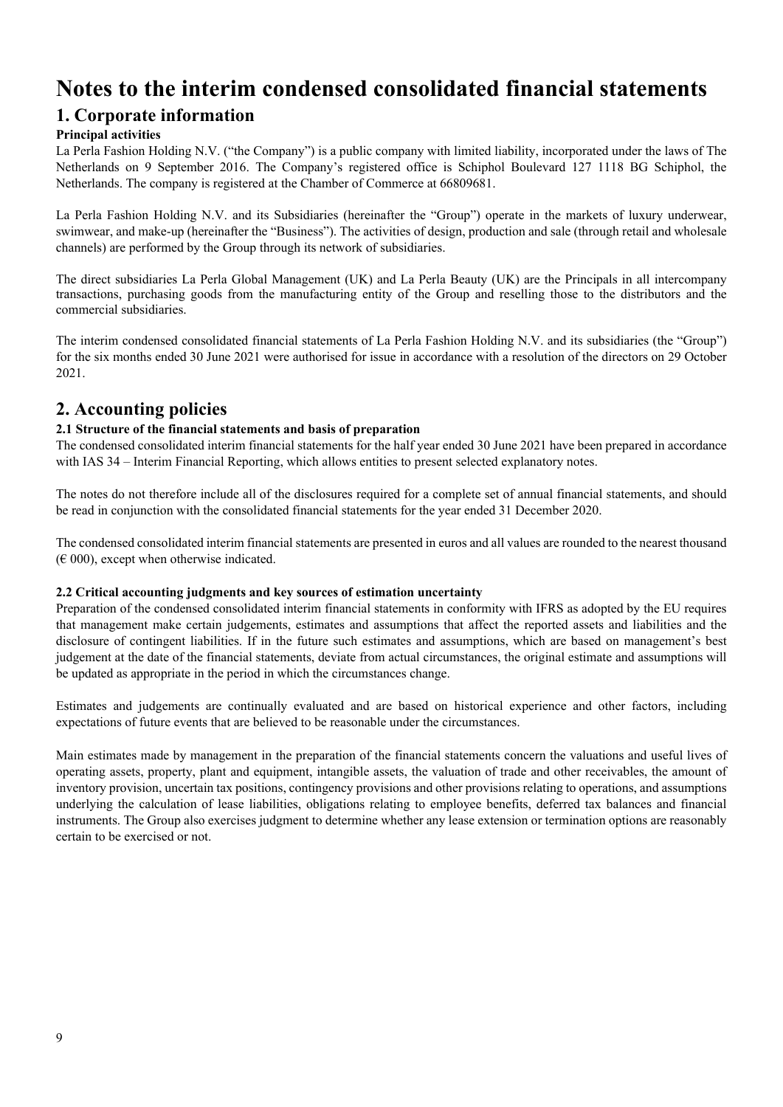## **Notes to the interim condensed consolidated financial statements**

## **1. Corporate information**

#### **Principal activities**

La Perla Fashion Holding N.V. ("the Company") is a public company with limited liability, incorporated under the laws of The Netherlands on 9 September 2016. The Company's registered office is Schiphol Boulevard 127 1118 BG Schiphol, the Netherlands. The company is registered at the Chamber of Commerce at 66809681.

La Perla Fashion Holding N.V. and its Subsidiaries (hereinafter the "Group") operate in the markets of luxury underwear, swimwear, and make-up (hereinafter the "Business"). The activities of design, production and sale (through retail and wholesale channels) are performed by the Group through its network of subsidiaries.

The direct subsidiaries La Perla Global Management (UK) and La Perla Beauty (UK) are the Principals in all intercompany transactions, purchasing goods from the manufacturing entity of the Group and reselling those to the distributors and the commercial subsidiaries.

The interim condensed consolidated financial statements of La Perla Fashion Holding N.V. and its subsidiaries (the "Group") for the six months ended 30 June 2021 were authorised for issue in accordance with a resolution of the directors on 29 October 2021.

## **2. Accounting policies**

#### **2.1 Structure of the financial statements and basis of preparation**

The condensed consolidated interim financial statements for the half year ended 30 June 2021 have been prepared in accordance with IAS 34 – Interim Financial Reporting, which allows entities to present selected explanatory notes.

The notes do not therefore include all of the disclosures required for a complete set of annual financial statements, and should be read in conjunction with the consolidated financial statements for the year ended 31 December 2020.

The condensed consolidated interim financial statements are presented in euros and all values are rounded to the nearest thousand  $(\text{\textsterling} 000)$ , except when otherwise indicated.

#### **2.2 Critical accounting judgments and key sources of estimation uncertainty**

Preparation of the condensed consolidated interim financial statements in conformity with IFRS as adopted by the EU requires that management make certain judgements, estimates and assumptions that affect the reported assets and liabilities and the disclosure of contingent liabilities. If in the future such estimates and assumptions, which are based on management's best judgement at the date of the financial statements, deviate from actual circumstances, the original estimate and assumptions will be updated as appropriate in the period in which the circumstances change.

Estimates and judgements are continually evaluated and are based on historical experience and other factors, including expectations of future events that are believed to be reasonable under the circumstances.

Main estimates made by management in the preparation of the financial statements concern the valuations and useful lives of operating assets, property, plant and equipment, intangible assets, the valuation of trade and other receivables, the amount of inventory provision, uncertain tax positions, contingency provisions and other provisions relating to operations, and assumptions underlying the calculation of lease liabilities, obligations relating to employee benefits, deferred tax balances and financial instruments. The Group also exercises judgment to determine whether any lease extension or termination options are reasonably certain to be exercised or not.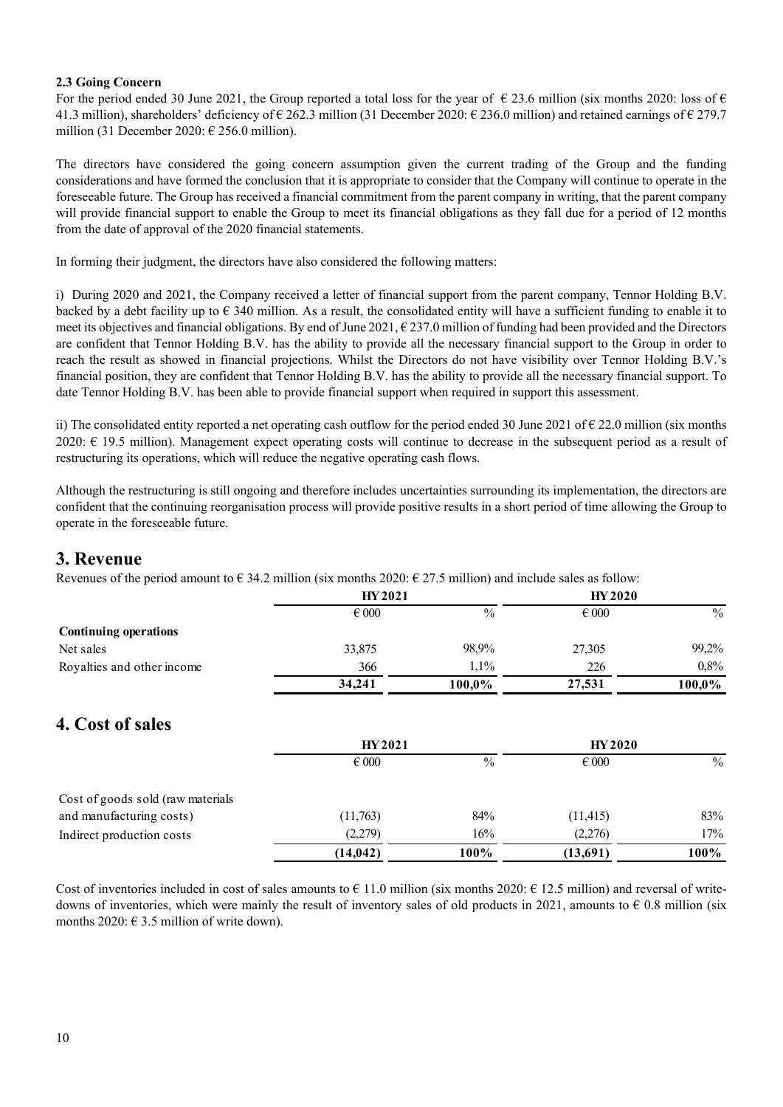#### **2.3 Going Concern**

For the period ended 30 June 2021, the Group reported a total loss for the year of  $\epsilon$  23.6 million (six months 2020: loss of  $\epsilon$ 41.3 million), shareholders' deficiency of  $\epsilon$  262.3 million (31 December 2020:  $\epsilon$  236.0 million) and retained earnings of  $\epsilon$  279.7 million (31 December 2020:  $\epsilon$  256.0 million).

The directors have considered the going concern assumption given the current trading of the Group and the funding considerations and have formed the conclusion that it is appropriate to consider that the Company will continue to operate in the foreseeable future. The Group has received a financial commitment from the parent company in writing, that the parent company will provide financial support to enable the Group to meet its financial obligations as they fall due for a period of 12 months from the date of approval of the 2020 financial statements.

In forming their judgment, the directors have also considered the following matters:

i) During 2020 and 2021, the Company received a letter of financial support from the parent company, Tennor Holding B.V. backed by a debt facility up to  $\epsilon$  340 million. As a result, the consolidated entity will have a sufficient funding to enable it to meet its objectives and financial obligations. By end of June 2021,  $\epsilon$  237.0 million of funding had been provided and the Directors are confident that Tennor Holding B.V. has the ability to provide all the necessary financial support to the Group in order to reach the result as showed in financial projections. Whilst the Directors do not have visibility over Tennor Holding B.V.'s financial position, they are confident that Tennor Holding B.V. has the ability to provide all the necessary financial support. To date Tennor Holding B.V. has been able to provide financial support when required in support this assessment.

ii) The consolidated entity reported a net operating cash outflow for the period ended 30 June 2021 of € 22.0 million (six months 2020:  $\epsilon$  19.5 million). Management expect operating costs will continue to decrease in the subsequent period as a result of restructuring its operations, which will reduce the negative operating cash flows.

Although the restructuring is still ongoing and therefore includes uncertainties surrounding its implementation, the directors are confident that the continuing reorganisation process will provide positive results in a short period of time allowing the Group to operate in the foreseeable future.

#### **3. Revenue**

Revenues of the period amount to  $\epsilon$  34.2 million (six months 2020:  $\epsilon$  27.5 million) and include sales as follow:

|                              | HY 2021        |        | <b>HY 2020</b> |               |
|------------------------------|----------------|--------|----------------|---------------|
|                              | $\epsilon$ 000 | $\%$   | $\epsilon$ 000 | $\frac{0}{0}$ |
| <b>Continuing operations</b> |                |        |                |               |
| Net sales                    | 33,875         | 98.9%  | 27,305         | 99,2%         |
| Royalties and other income   | 366            | 1.1%   | 226            | $0.8\%$       |
|                              | 34,241         | 100,0% | 27,531         | 100,0%        |

## **4. Cost of sales**

|                                   | <b>HY2021</b>  |      | <b>HY2020</b>  |      |  |
|-----------------------------------|----------------|------|----------------|------|--|
|                                   | $\epsilon$ 000 | $\%$ | $\epsilon$ 000 | $\%$ |  |
| Cost of goods sold (raw materials |                |      |                |      |  |
| and manufacturing costs)          | (11,763)       | 84%  | (11, 415)      | 83%  |  |
| Indirect production costs         | (2,279)        | 16%  | (2,276)        | 17%  |  |
|                                   | (14, 042)      | 100% | (13,691)       | 100% |  |

Cost of inventories included in cost of sales amounts to  $\epsilon$  11.0 million (six months 2020:  $\epsilon$  12.5 million) and reversal of writedowns of inventories, which were mainly the result of inventory sales of old products in 2021, amounts to  $\epsilon$  0.8 million (six months 2020:  $\in$  3.5 million of write down).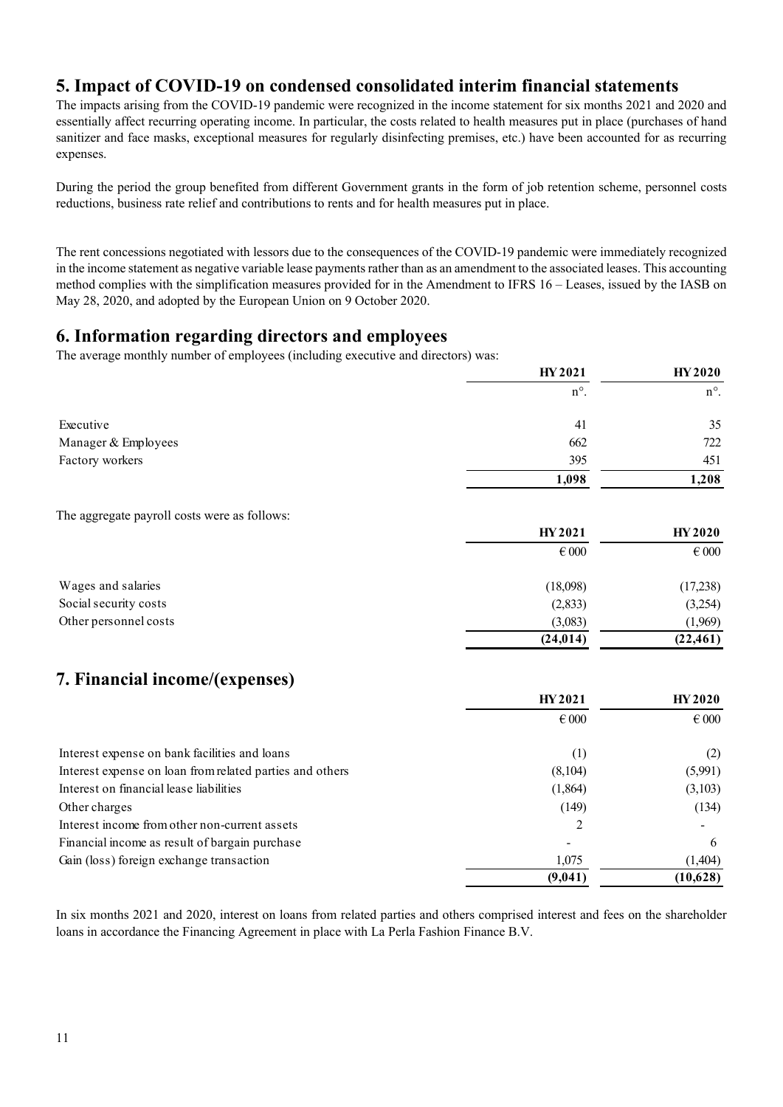## **5. Impact of COVID-19 on condensed consolidated interim financial statements**

The impacts arising from the COVID-19 pandemic were recognized in the income statement for six months 2021 and 2020 and essentially affect recurring operating income. In particular, the costs related to health measures put in place (purchases of hand sanitizer and face masks, exceptional measures for regularly disinfecting premises, etc.) have been accounted for as recurring expenses.

During the period the group benefited from different Government grants in the form of job retention scheme, personnel costs reductions, business rate relief and contributions to rents and for health measures put in place.

The rent concessions negotiated with lessors due to the consequences of the COVID-19 pandemic were immediately recognized in the income statement as negative variable lease payments rather than as an amendment to the associated leases. This accounting method complies with the simplification measures provided for in the Amendment to IFRS 16 – Leases, issued by the IASB on May 28, 2020, and adopted by the European Union on 9 October 2020.

#### **6. Information regarding directors and employees**

The average monthly number of employees (including executive and directors) was:

|                     | HY 2021       | <b>HY 2020</b> |
|---------------------|---------------|----------------|
|                     | $n^{\circ}$ . | $n^{\circ}$ .  |
| Executive           | 41            | 35             |
| Manager & Employees | 662           | 722            |
| Factory workers     | 395           | 451            |
|                     | 1,098         | 1,208          |

The aggregate payroll costs were as follows:

|                       | <b>HY2021</b>  | <b>HY 2020</b> |
|-----------------------|----------------|----------------|
|                       | $\epsilon$ 000 | $\epsilon$ 000 |
| Wages and salaries    | (18,098)       | (17,238)       |
| Social security costs | (2,833)        | (3,254)        |
| Other personnel costs | (3,083)        | (1,969)        |
|                       | (24, 014)      | (22, 461)      |

## **7. Financial income/(expenses)**

|                                                          | HY 2021        | <b>HY 2020</b> |  |
|----------------------------------------------------------|----------------|----------------|--|
|                                                          | $\epsilon$ 000 | $\epsilon$ 000 |  |
| Interest expense on bank facilities and loans            | (1)            | (2)            |  |
| Interest expense on loan from related parties and others | (8,104)        | (5,991)        |  |
| Interest on financial lease liabilities                  | (1,864)        | (3,103)        |  |
| Other charges                                            | (149)          | (134)          |  |
| Interest income from other non-current assets            | 2              |                |  |
| Financial income as result of bargain purchase           |                | 6              |  |
| Gain (loss) foreign exchange transaction                 | 1,075          | (1,404)        |  |
|                                                          | (9,041)        | (10,628)       |  |

In six months 2021 and 2020, interest on loans from related parties and others comprised interest and fees on the shareholder loans in accordance the Financing Agreement in place with La Perla Fashion Finance B.V.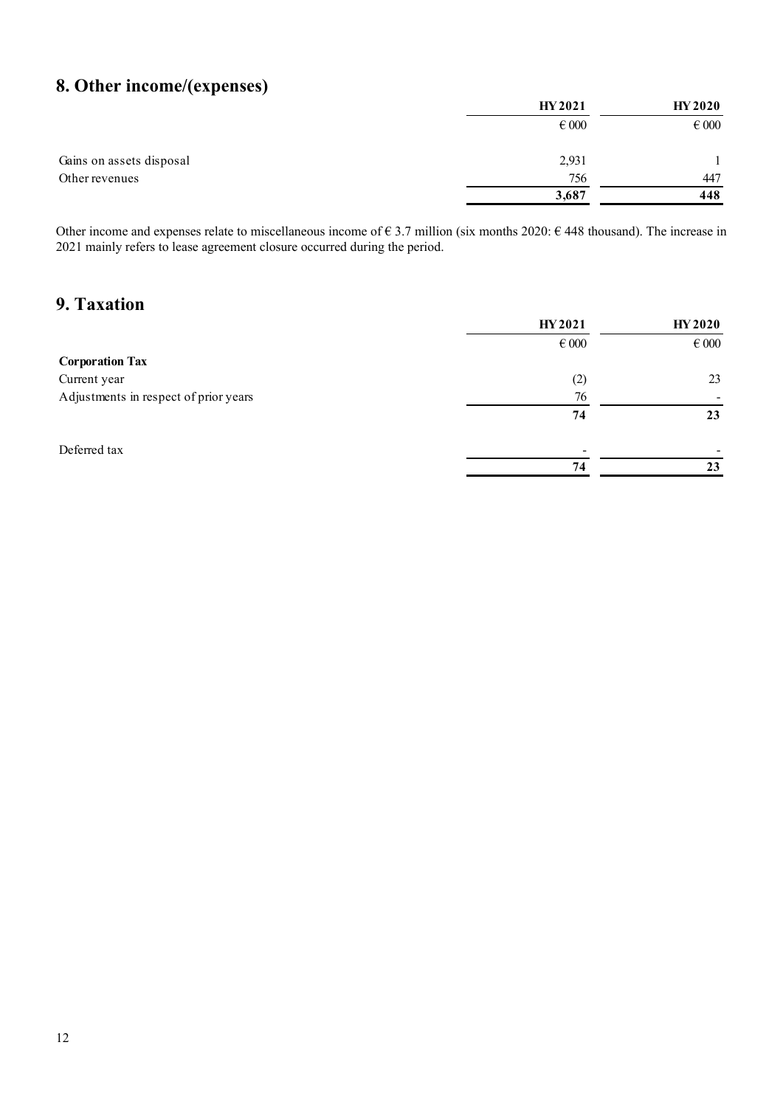## **8. Other income/(expenses)**

|                          | HY 2021   | <b>HY 2020</b> |
|--------------------------|-----------|----------------|
|                          | $\in 000$ | $\in 000$      |
| Gains on assets disposal | 2,931     |                |
| Other revenues           | 756       | 447            |
|                          | 3,687     | 448            |

Other income and expenses relate to miscellaneous income of  $\epsilon$  3.7 million (six months 2020:  $\epsilon$  448 thousand). The increase in 2021 mainly refers to lease agreement closure occurred during the period.

## **9. Taxation**

|                                       | HY 2021                  | <b>HY 2020</b> |  |
|---------------------------------------|--------------------------|----------------|--|
|                                       | $\epsilon$ 000           | $\epsilon$ 000 |  |
| <b>Corporation Tax</b>                |                          |                |  |
| Current year                          | (2)                      | 23             |  |
| Adjustments in respect of prior years | 76                       |                |  |
|                                       | 74                       | 23             |  |
| Deferred tax                          | $\overline{\phantom{0}}$ |                |  |
|                                       | 74                       | 23             |  |
|                                       |                          |                |  |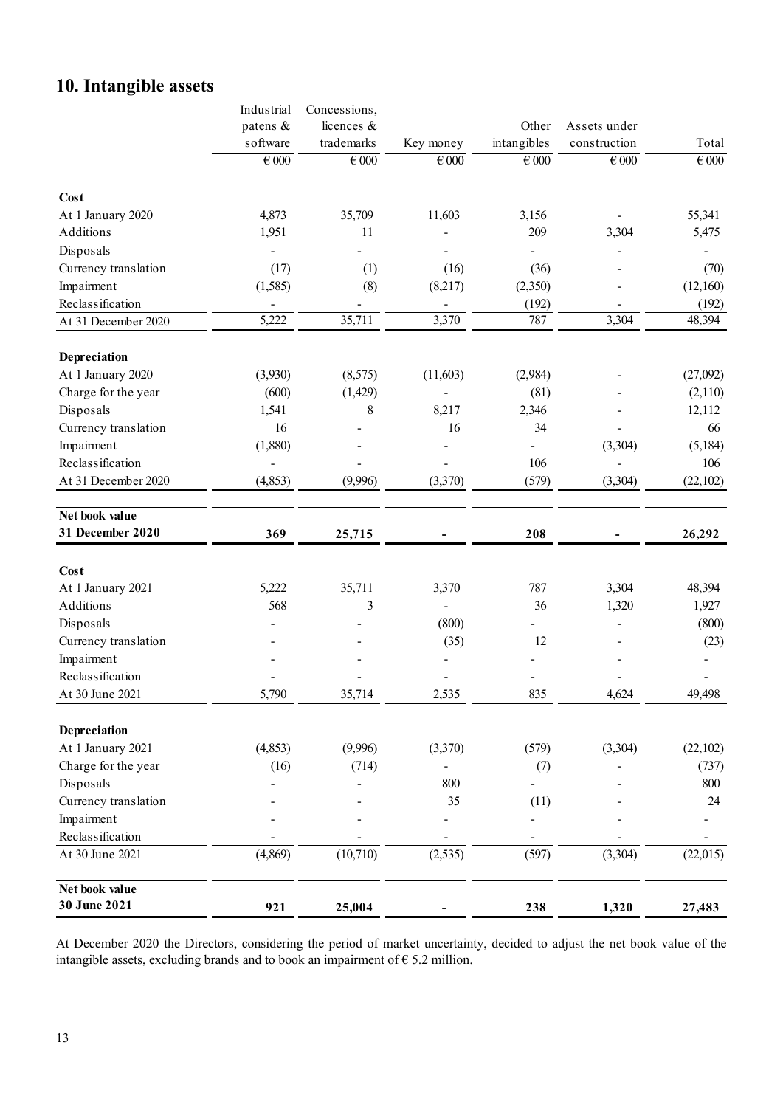## **10. Intangible assets**

|                      | Industrial                   | Concessions, |                           |             |              |           |
|----------------------|------------------------------|--------------|---------------------------|-------------|--------------|-----------|
|                      | patens &                     | licences &   |                           | Other       | Assets under |           |
|                      | software                     | trademarks   | Key money                 | intangibles | construction | Total     |
|                      | $\in 000$                    | $\in 000$    | $\overline{\epsilon}$ 000 | $\in 000$   | $\in 000$    | $\in 000$ |
| Cost                 |                              |              |                           |             |              |           |
| At 1 January 2020    | 4,873                        | 35,709       | 11,603                    | 3,156       |              | 55,341    |
| Additions            | 1,951                        | 11           |                           | 209         | 3,304        | 5,475     |
| Disposals            |                              |              |                           |             |              |           |
| Currency translation | (17)                         | (1)          | (16)                      | (36)        |              | (70)      |
| Impairment           | (1, 585)                     | (8)          | (8,217)                   | (2,350)     |              | (12,160)  |
| Reclassification     | $\qquad \qquad \blacksquare$ |              | -                         | (192)       |              | (192)     |
| At 31 December 2020  | 5,222                        | 35,711       | 3,370                     | 787         | 3,304        | 48,394    |
| Depreciation         |                              |              |                           |             |              |           |
| At 1 January 2020    | (3,930)                      | (8,575)      | (11,603)                  | (2,984)     |              | (27,092)  |
| Charge for the year  | (600)                        | (1, 429)     |                           | (81)        |              | (2,110)   |
| Disposals            | 1,541                        | 8            | 8,217                     | 2,346       |              | 12,112    |
| Currency translation | 16                           |              | 16                        | 34          |              | 66        |
| Impairment           | (1,880)                      |              |                           |             | (3,304)      | (5, 184)  |
| Reclassification     | $\blacksquare$               |              |                           | 106         |              | 106       |
| At 31 December 2020  | (4, 853)                     | (9,996)      | (3,370)                   | (579)       | (3,304)      | (22,102)  |
| Net book value       |                              |              |                           |             |              |           |
| 31 December 2020     | 369                          | 25,715       |                           | 208         |              | 26,292    |
|                      |                              |              |                           |             |              |           |
| Cost                 |                              |              |                           |             |              |           |
| At 1 January 2021    | 5,222                        | 35,711       | 3,370                     | 787         | 3,304        | 48,394    |
| Additions            | 568                          | 3            | ä,                        | 36          | 1,320        | 1,927     |
| Disposals            |                              |              | (800)                     |             |              | (800)     |
| Currency translation |                              |              | (35)                      | 12          |              | (23)      |
| Impairment           |                              |              |                           |             |              |           |
| Reclassification     |                              |              |                           |             |              |           |
| At 30 June 2021      | 5,790                        | 35,714       | 2,535                     | 835         | 4,624        | 49,498    |
| Depreciation         |                              |              |                           |             |              |           |
| At 1 January 2021    | (4, 853)                     | (9,996)      | (3,370)                   | (579)       | (3,304)      | (22,102)  |
| Charge for the year  | (16)                         | (714)        |                           | (7)         |              | (737)     |
| Disposals            |                              |              | 800                       |             |              | 800       |
| Currency translation |                              |              | 35                        | (11)        |              | 24        |
| Impairment           |                              |              |                           |             |              |           |
| Reclassification     |                              |              |                           |             |              |           |
| At 30 June 2021      | (4, 869)                     | (10, 710)    | (2, 535)                  | (597)       | (3,304)      | (22,015)  |
| Net book value       |                              |              |                           |             |              |           |
| 30 June 2021         | 921                          | 25,004       |                           | 238         | 1,320        | 27,483    |

At December 2020 the Directors, considering the period of market uncertainty, decided to adjust the net book value of the intangible assets, excluding brands and to book an impairment of  $\epsilon$  5.2 million.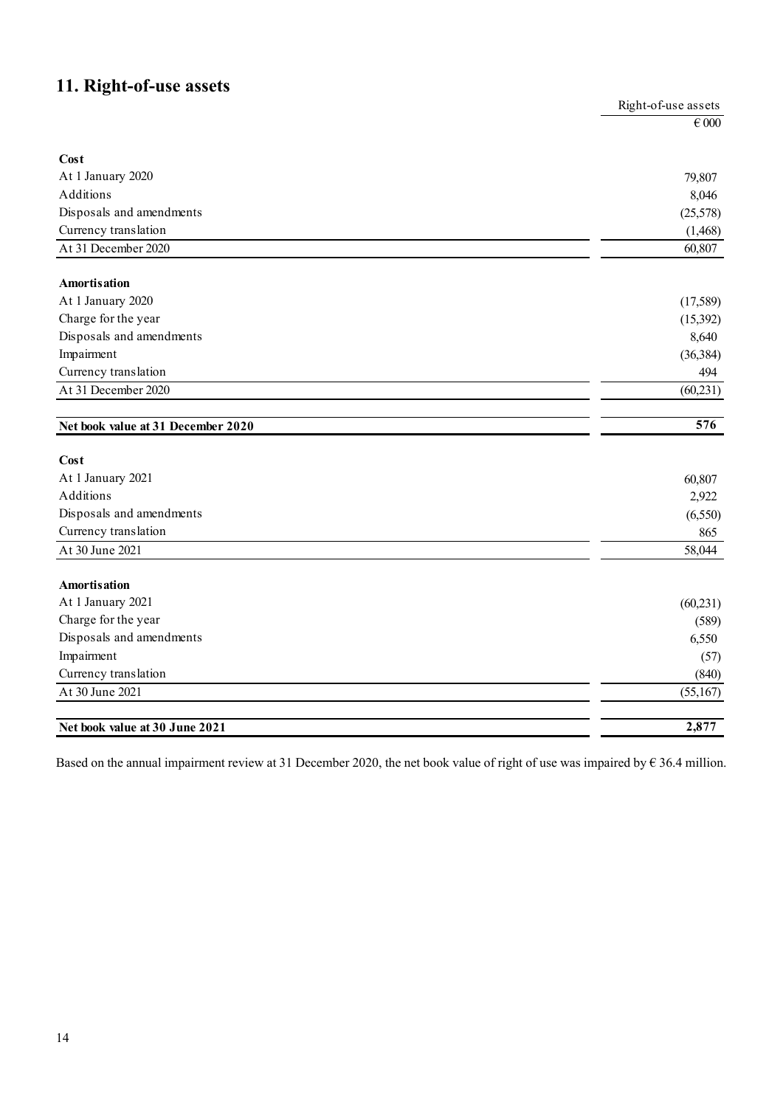## **11. Right-of-use assets**

| o                                  | Right-of-use assets |
|------------------------------------|---------------------|
|                                    | $\in 000$           |
| Cost                               |                     |
| At 1 January 2020                  | 79,807              |
| Additions                          | 8,046               |
| Disposals and amendments           | (25,578)            |
| Currency translation               | (1, 468)            |
| At 31 December 2020                | 60,807              |
| <b>Amortisation</b>                |                     |
| At 1 January 2020                  | (17,589)            |
| Charge for the year                | (15,392)            |
| Disposals and amendments           | 8,640               |
| Impairment                         | (36, 384)           |
| Currency translation               | 494                 |
| At 31 December 2020                | (60, 231)           |
| Net book value at 31 December 2020 | 576                 |
| Cost                               |                     |
| At 1 January 2021                  | 60,807              |
| Additions                          | 2,922               |
| Disposals and amendments           | (6, 550)            |
| Currency translation               | 865                 |
| At 30 June 2021                    | 58,044              |
| <b>Amortisation</b>                |                     |
| At 1 January 2021                  | (60, 231)           |
| Charge for the year                | (589)               |
| Disposals and amendments           | 6,550               |
| Impairment                         | (57)                |
| Currency translation               | (840)               |
| At 30 June 2021                    | (55,167)            |
|                                    | 2,877               |
| Net book value at 30 June 2021     |                     |

Based on the annual impairment review at 31 December 2020, the net book value of right of use was impaired by  $\epsilon$  36.4 million.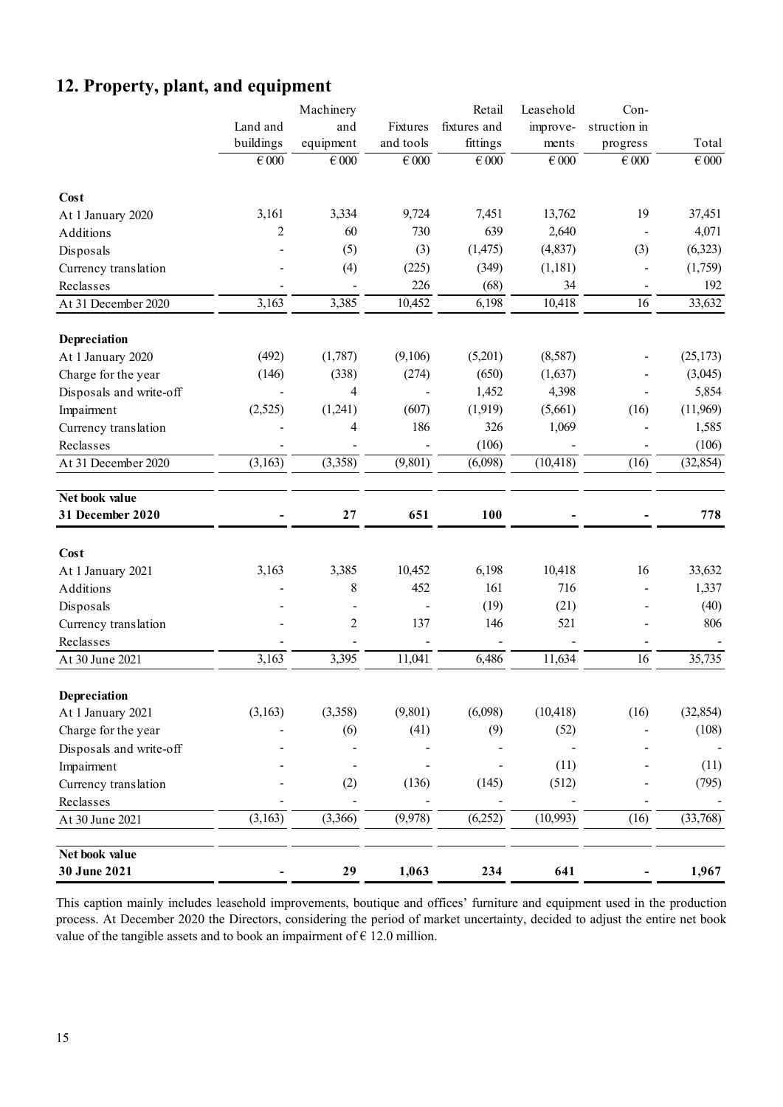## **12. Property, plant, and equipment**

|                         |                | Machinery      |           | Retail       | Leasehold | Con-           |           |
|-------------------------|----------------|----------------|-----------|--------------|-----------|----------------|-----------|
|                         | Land and       | and            | Fixtures  | fixtures and | improve-  | struction in   |           |
|                         | buildings      | equipment      | and tools | fittings     | ments     | progress       | Total     |
|                         | $\in 000$      | $\in 000$      | $\in 000$ | $\in 000$    | $\in 000$ | $\in 000$      | $\in 000$ |
| Cost                    |                |                |           |              |           |                |           |
| At 1 January 2020       | 3,161          | 3,334          | 9,724     | 7,451        | 13,762    | 19             | 37,451    |
| Additions               | $\overline{2}$ | 60             | 730       | 639          | 2,640     |                | 4,071     |
| Disposals               |                | (5)            | (3)       | (1, 475)     | (4, 837)  | (3)            | (6,323)   |
| Currency translation    |                | (4)            | (225)     | (349)        | (1,181)   | $\overline{a}$ | (1,759)   |
| Reclasses               |                |                | 226       | (68)         | 34        |                | 192       |
| At 31 December 2020     | 3,163          | 3,385          | 10,452    | 6,198        | 10,418    | 16             | 33,632    |
|                         |                |                |           |              |           |                |           |
| Depreciation            |                |                |           |              |           |                |           |
| At 1 January 2020       | (492)          | (1,787)        | (9,106)   | (5,201)      | (8,587)   |                | (25,173)  |
| Charge for the year     | (146)          | (338)          | (274)     | (650)        | (1,637)   |                | (3,045)   |
| Disposals and write-off |                | 4              |           | 1,452        | 4,398     |                | 5,854     |
| Impairment              | (2,525)        | (1,241)        | (607)     | (1,919)      | (5,661)   | (16)           | (11,969)  |
| Currency translation    |                | 4              | 186       | 326          | 1,069     |                | 1,585     |
| Reclasses               |                |                |           | (106)        |           |                | (106)     |
| At 31 December 2020     | (3,163)        | (3,358)        | (9, 801)  | (6,098)      | (10, 418) | (16)           | (32, 854) |
| Net book value          |                |                |           |              |           |                |           |
| 31 December 2020        |                | 27             | 651       | 100          |           |                | 778       |
| Cost                    |                |                |           |              |           |                |           |
| At 1 January 2021       | 3,163          | 3,385          | 10,452    | 6,198        | 10,418    | 16             | 33,632    |
| Additions               |                | 8              | 452       | 161          | 716       |                | 1,337     |
| Disposals               |                |                |           | (19)         | (21)      |                | (40)      |
| Currency translation    |                | $\overline{2}$ | 137       | 146          | 521       |                | 806       |
| Reclasses               |                |                |           |              |           |                |           |
| At 30 June 2021         | 3,163          | 3,395          | 11,041    | 6,486        | 11,634    | 16             | 35,735    |
|                         |                |                |           |              |           |                |           |
| Depreciation            |                |                |           |              |           |                |           |
| At 1 January 2021       | (3,163)        | (3,358)        | (9,801)   | (6,098)      | (10, 418) | (16)           | (32, 854) |
| Charge for the year     |                | (6)            | (41)      | (9)          | (52)      |                | (108)     |
| Disposals and write-off |                |                |           |              |           |                |           |
| Impairment              |                |                |           |              | (11)      |                | (11)      |
| Currency translation    |                | (2)            | (136)     | (145)        | (512)     |                | (795)     |
| Reclasses               |                |                |           |              |           |                |           |
| At 30 June 2021         | (3,163)        | (3,366)        | (9, 978)  | (6,252)      | (10, 993) | (16)           | (33,768)  |
| Net book value          |                |                |           |              |           |                |           |
| 30 June 2021            | -              | 29             | 1,063     | 234          | 641       | -              | 1,967     |

This caption mainly includes leasehold improvements, boutique and offices' furniture and equipment used in the production process. At December 2020 the Directors, considering the period of market uncertainty, decided to adjust the entire net book value of the tangible assets and to book an impairment of  $\epsilon$  12.0 million.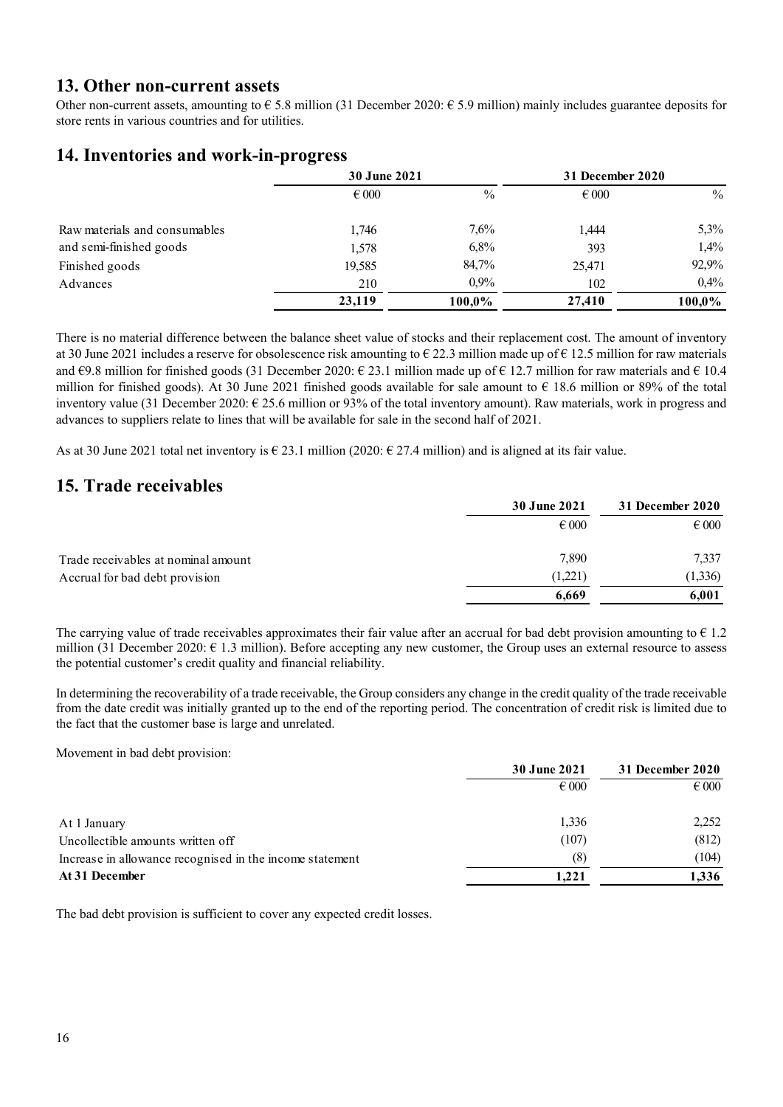#### **13. Other non-current assets**

Other non-current assets, amounting to  $\epsilon$  5.8 million (31 December 2020:  $\epsilon$  5.9 million) mainly includes guarantee deposits for store rents in various countries and for utilities.

## **14. Inventories and work-in-progress**

|                               | <b>30 June 2021</b> |         | 31 December 2020 |        |
|-------------------------------|---------------------|---------|------------------|--------|
|                               | $\epsilon$ 000      | $\%$    | $\epsilon$ 000   | $\%$   |
| Raw materials and consumables | 1,746               | 7,6%    | 1.444            | 5,3%   |
| and semi-finished goods       | 1,578               | 6,8%    | 393              | 1,4%   |
| Finished goods                | 19,585              | 84,7%   | 25,471           | 92,9%  |
| Advances                      | 210                 | $0.9\%$ | 102              | 0,4%   |
|                               | 23,119              | 100,0%  | 27,410           | 100,0% |

There is no material difference between the balance sheet value of stocks and their replacement cost. The amount of inventory at 30 June 2021 includes a reserve for obsolescence risk amounting to  $\epsilon$  22.3 million made up of  $\epsilon$  12.5 million for raw materials and  $\epsilon$ 9.8 million for finished goods (31 December 2020:  $\epsilon$  23.1 million made up of  $\epsilon$  12.7 million for raw materials and  $\epsilon$  10.4 million for finished goods). At 30 June 2021 finished goods available for sale amount to  $\epsilon$  18.6 million or 89% of the total inventory value (31 December 2020:  $\epsilon$  25.6 million or 93% of the total inventory amount). Raw materials, work in progress and advances to suppliers relate to lines that will be available for sale in the second half of 2021.

As at 30 June 2021 total net inventory is  $\epsilon$  23.1 million (2020:  $\epsilon$  27.4 million) and is aligned at its fair value.

### **15. Trade receivables**

|                                     | 30 June 2021   | 31 December 2020 |
|-------------------------------------|----------------|------------------|
|                                     | $\epsilon$ 000 | $\epsilon$ 000   |
| Trade receivables at nominal amount | 7,890          | 7,337            |
| Accrual for bad debt provision      | (1,221)        | (1,336)          |
|                                     | 6,669          | 6,001            |

The carrying value of trade receivables approximates their fair value after an accrual for bad debt provision amounting to  $\epsilon$  1.2 million (31 December 2020:  $\epsilon$  1.3 million). Before accepting any new customer, the Group uses an external resource to assess the potential customer's credit quality and financial reliability.

In determining the recoverability of a trade receivable, the Group considers any change in the credit quality of the trade receivable from the date credit was initially granted up to the end of the reporting period. The concentration of credit risk is limited due to the fact that the customer base is large and unrelated.

Movement in bad debt provision:

|                                                          | 30 June 2021   | 31 December 2020 |  |
|----------------------------------------------------------|----------------|------------------|--|
|                                                          | $\epsilon$ 000 | $\epsilon$ 000   |  |
| At 1 January                                             | 1,336          | 2,252            |  |
| Uncollectible amounts written off                        | (107)          | (812)            |  |
| Increase in allowance recognised in the income statement | (8)            | (104)            |  |
| At 31 December                                           | 1,221          | 1,336            |  |

The bad debt provision is sufficient to cover any expected credit losses.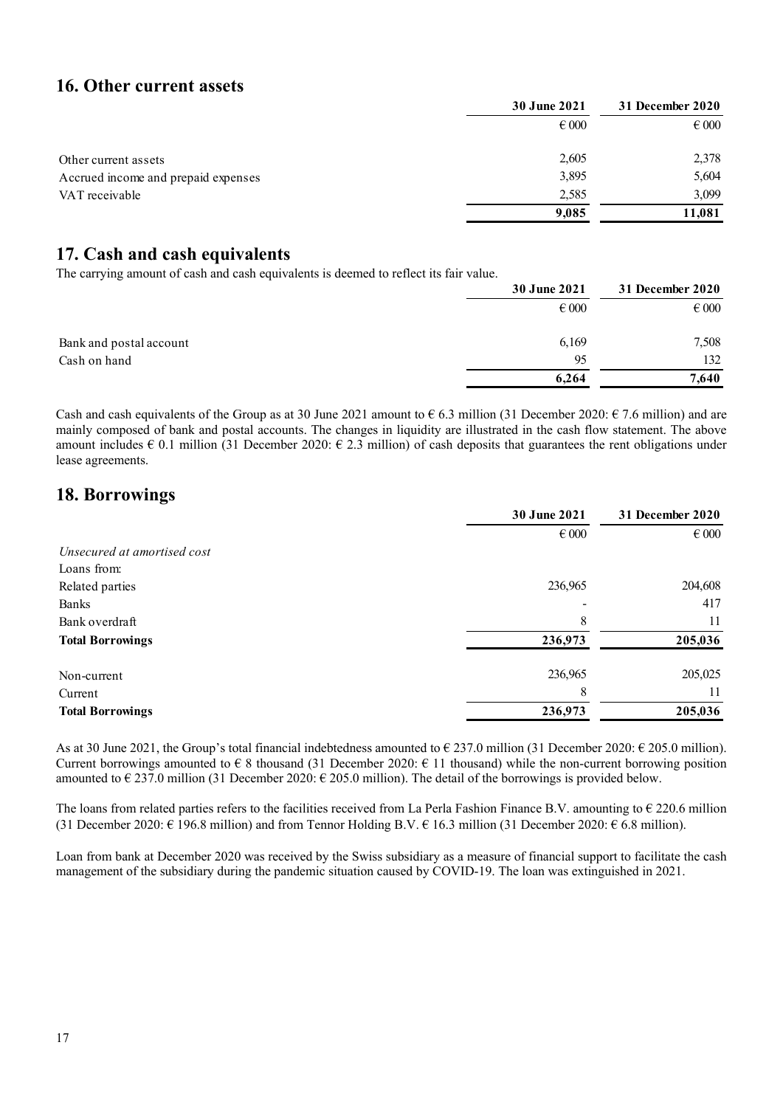#### **16. Other current assets**

|                                     | <b>30 June 2021</b> | 31 December 2020 |
|-------------------------------------|---------------------|------------------|
|                                     | $\epsilon$ 000      | $\epsilon$ 000   |
| Other current assets                | 2,605               | 2,378            |
| Accrued income and prepaid expenses | 3,895               | 5,604            |
| VAT receivable                      | 2,585               | 3.099            |
|                                     | 9,085               | 11,081           |

## **17. Cash and cash equivalents**

The carrying amount of cash and cash equivalents is deemed to reflect its fair value.

|                         | <b>30 June 2021</b> | 31 December 2020 |
|-------------------------|---------------------|------------------|
|                         | $\epsilon$ 000      | $\epsilon$ 000   |
| Bank and postal account | 6,169               | 7,508            |
| Cash on hand            | 95                  | 132              |
|                         | 6,264               | 7,640            |

Cash and cash equivalents of the Group as at 30 June 2021 amount to  $\epsilon$  6.3 million (31 December 2020:  $\epsilon$  7.6 million) and are mainly composed of bank and postal accounts. The changes in liquidity are illustrated in the cash flow statement. The above amount includes  $\epsilon$  0.1 million (31 December 2020:  $\epsilon$  2.3 million) of cash deposits that guarantees the rent obligations under lease agreements.

## **18. Borrowings**

|                             | 30 June 2021   | 31 December 2020 |
|-----------------------------|----------------|------------------|
|                             | $\epsilon$ 000 | $\epsilon$ 000   |
| Unsecured at amortised cost |                |                  |
| Loans from:                 |                |                  |
| Related parties             | 236,965        | 204,608          |
| Banks                       |                | 417              |
| Bank overdraft              | 8              | 11               |
| <b>Total Borrowings</b>     | 236,973        | 205,036          |
| Non-current                 | 236,965        | 205,025          |
| Current                     | 8              | 11               |
| <b>Total Borrowings</b>     | 236,973        | 205,036          |
|                             |                |                  |

As at 30 June 2021, the Group's total financial indebtedness amounted to  $\epsilon$  237.0 million (31 December 2020:  $\epsilon$  205.0 million). Current borrowings amounted to  $\epsilon$  8 thousand (31 December 2020:  $\epsilon$  11 thousand) while the non-current borrowing position amounted to  $\epsilon$  237.0 million (31 December 2020:  $\epsilon$  205.0 million). The detail of the borrowings is provided below.

The loans from related parties refers to the facilities received from La Perla Fashion Finance B.V. amounting to  $\epsilon$  220.6 million (31 December 2020:  $\epsilon$  196.8 million) and from Tennor Holding B.V.  $\epsilon$  16.3 million (31 December 2020:  $\epsilon$  6.8 million).

Loan from bank at December 2020 was received by the Swiss subsidiary as a measure of financial support to facilitate the cash management of the subsidiary during the pandemic situation caused by COVID-19. The loan was extinguished in 2021.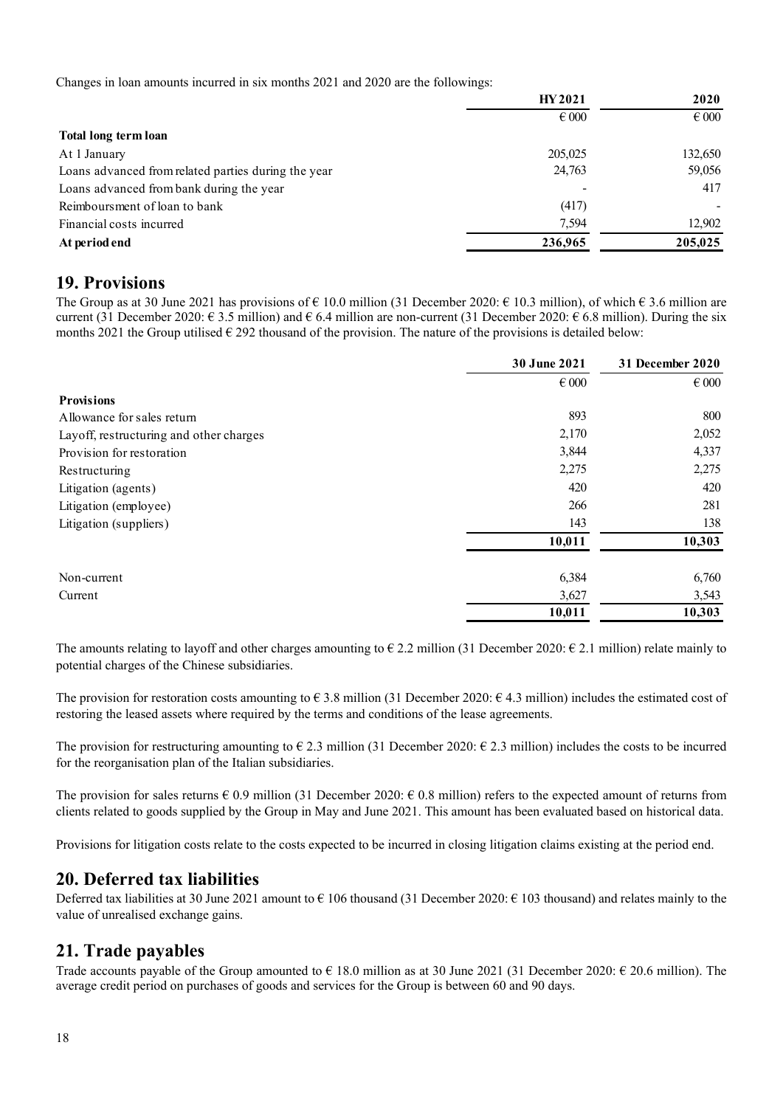Changes in loan amounts incurred in six months 2021 and 2020 are the followings:

|                                                     | <b>HY2021</b><br>$\epsilon$ 000 | 2020<br>$\epsilon$ 000 |
|-----------------------------------------------------|---------------------------------|------------------------|
|                                                     |                                 |                        |
| Total long term loan                                |                                 |                        |
| At 1 January                                        | 205,025                         | 132,650                |
| Loans advanced from related parties during the year | 24,763                          | 59,056                 |
| Loans advanced from bank during the year            |                                 | 417                    |
| Reimboursment of loan to bank                       | (417)                           |                        |
| Financial costs incurred                            | 7.594                           | 12,902                 |
| At period end                                       | 236,965                         | 205,025                |

### **19. Provisions**

The Group as at 30 June 2021 has provisions of  $\epsilon$  10.0 million (31 December 2020:  $\epsilon$  10.3 million), of which  $\epsilon$  3.6 million are current (31 December 2020:  $\epsilon$  3.5 million) and  $\epsilon$  6.4 million are non-current (31 December 2020:  $\epsilon$  6.8 million). During the six months 2021 the Group utilised  $\epsilon$  292 thousand of the provision. The nature of the provisions is detailed below:

|                                         | 30 June 2021   | 31 December 2020 |
|-----------------------------------------|----------------|------------------|
|                                         | $\epsilon$ 000 | $\epsilon$ 000   |
| <b>Provisions</b>                       |                |                  |
| Allowance for sales return              | 893            | 800              |
| Layoff, restructuring and other charges | 2,170          | 2,052            |
| Provision for restoration               | 3,844          | 4,337            |
| Restructuring                           | 2,275          | 2,275            |
| Litigation (agents)                     | 420            | 420              |
| Litigation (employee)                   | 266            | 281              |
| Litigation (suppliers)                  | 143            | 138              |
|                                         | 10,011         | 10,303           |
| Non-current                             | 6,384          | 6,760            |
| Current                                 | 3,627          | 3,543            |
|                                         | 10,011         | 10,303           |

The amounts relating to layoff and other charges amounting to  $\epsilon$  2.2 million (31 December 2020:  $\epsilon$  2.1 million) relate mainly to potential charges of the Chinese subsidiaries.

The provision for restoration costs amounting to  $\epsilon$  3.8 million (31 December 2020:  $\epsilon$  4.3 million) includes the estimated cost of restoring the leased assets where required by the terms and conditions of the lease agreements.

The provision for restructuring amounting to  $\epsilon$  2.3 million (31 December 2020:  $\epsilon$  2.3 million) includes the costs to be incurred for the reorganisation plan of the Italian subsidiaries.

The provision for sales returns  $\epsilon$  0.9 million (31 December 2020:  $\epsilon$  0.8 million) refers to the expected amount of returns from clients related to goods supplied by the Group in May and June 2021. This amount has been evaluated based on historical data.

Provisions for litigation costs relate to the costs expected to be incurred in closing litigation claims existing at the period end.

### **20. Deferred tax liabilities**

Deferred tax liabilities at 30 June 2021 amount to  $\epsilon$  106 thousand (31 December 2020:  $\epsilon$  103 thousand) and relates mainly to the value of unrealised exchange gains.

### **21. Trade payables**

Trade accounts payable of the Group amounted to  $\epsilon$  18.0 million as at 30 June 2021 (31 December 2020:  $\epsilon$  20.6 million). The average credit period on purchases of goods and services for the Group is between 60 and 90 days.